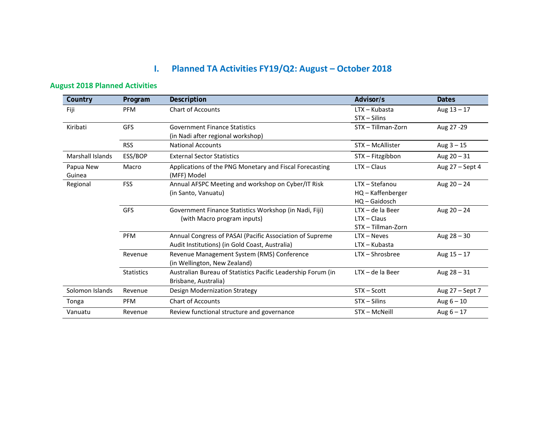# **I. Planned TA Activities FY19/Q2: August – October 2018**

## **August 2018 Planned Activities**

| Country             | Program           | Description                                                            | Advisor/s          | <b>Dates</b>    |
|---------------------|-------------------|------------------------------------------------------------------------|--------------------|-----------------|
| Fiji                | <b>PFM</b>        | <b>Chart of Accounts</b>                                               | $LTX - Kubasta$    | Aug $13 - 17$   |
|                     |                   |                                                                        | $STX - Silins$     |                 |
| Kiribati            | <b>GFS</b>        | <b>Government Finance Statistics</b>                                   | STX - Tillman-Zorn | Aug 27 - 29     |
|                     |                   | (in Nadi after regional workshop)                                      |                    |                 |
|                     | <b>RSS</b>        | <b>National Accounts</b>                                               | STX - McAllister   | Aug $3 - 15$    |
| Marshall Islands    | ESS/BOP           | <b>External Sector Statistics</b>                                      | STX - Fitzgibbon   | Aug $20 - 31$   |
| Papua New<br>Guinea | Macro             | Applications of the PNG Monetary and Fiscal Forecasting<br>(MFF) Model | $LTX - Claus$      | Aug 27 - Sept 4 |
| Regional            | <b>FSS</b>        | Annual AFSPC Meeting and workshop on Cyber/IT Risk                     | LTX - Stefanou     | Aug $20 - 24$   |
|                     |                   | (in Santo, Vanuatu)                                                    | HQ - Kaffenberger  |                 |
|                     |                   |                                                                        | $HO - Gaidosch$    |                 |
|                     | GFS               | Government Finance Statistics Workshop (in Nadi, Fiji)                 | $LTX - de$ la Beer | Aug $20 - 24$   |
|                     |                   | (with Macro program inputs)                                            | $LTX - Claus$      |                 |
|                     |                   |                                                                        | STX - Tillman-Zorn |                 |
|                     | <b>PFM</b>        | Annual Congress of PASAI (Pacific Association of Supreme               | $LTX - Neves$      | Aug $28 - 30$   |
|                     |                   | Audit Institutions) (in Gold Coast, Australia)                         | $LTX - Kubasta$    |                 |
|                     | Revenue           | Revenue Management System (RMS) Conference                             | LTX - Shrosbree    | Aug $15 - 17$   |
|                     |                   | (in Wellington, New Zealand)                                           |                    |                 |
|                     | <b>Statistics</b> | Australian Bureau of Statistics Pacific Leadership Forum (in           | $LTX - de$ la Beer | Aug $28 - 31$   |
|                     |                   | Brisbane, Australia)                                                   |                    |                 |
| Solomon Islands     | Revenue           | Design Modernization Strategy                                          | STX - Scott        | Aug 27 - Sept 7 |
| Tonga               | <b>PFM</b>        | <b>Chart of Accounts</b>                                               | $STX - Silins$     | Aug $6 - 10$    |
| Vanuatu             | Revenue           | Review functional structure and governance                             | STX - McNeill      | Aug $6 - 17$    |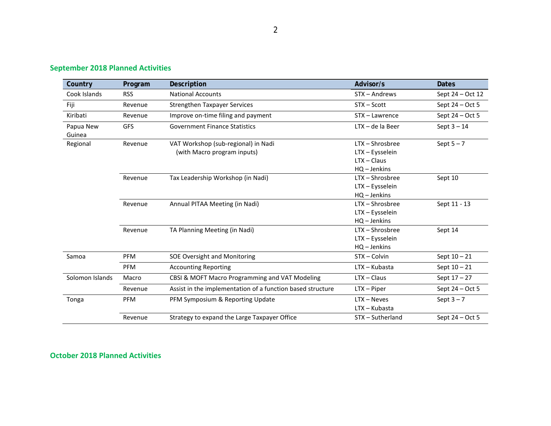| Country             | Program    | Description                                                        | Advisor/s                                                           | <b>Dates</b>      |
|---------------------|------------|--------------------------------------------------------------------|---------------------------------------------------------------------|-------------------|
| Cook Islands        | <b>RSS</b> | <b>National Accounts</b>                                           | STX – Andrews                                                       | Sept 24 – Oct 12  |
| Fiji                | Revenue    | <b>Strengthen Taxpayer Services</b>                                | $STX - Scott$                                                       | Sept $24 - Oct 5$ |
| Kiribati            | Revenue    | Improve on-time filing and payment                                 | STX - Lawrence                                                      | Sept 24 - Oct 5   |
| Papua New<br>Guinea | <b>GFS</b> | <b>Government Finance Statistics</b>                               | $LTX - de$ la Beer                                                  | Sept $3 - 14$     |
| Regional            | Revenue    | VAT Workshop (sub-regional) in Nadi<br>(with Macro program inputs) | LTX-Shrosbree<br>LTX - Eysselein<br>$LTX - Claus$<br>$HQ - Jenkins$ | Sept $5 - 7$      |
|                     | Revenue    | Tax Leadership Workshop (in Nadi)                                  | LTX-Shrosbree<br>LTX - Eysselein<br>HQ - Jenkins                    | Sept 10           |
|                     | Revenue    | Annual PITAA Meeting (in Nadi)                                     | LTX-Shrosbree<br>LTX - Eysselein<br>$HQ - Jenkins$                  | Sept 11 - 13      |
|                     | Revenue    | TA Planning Meeting (in Nadi)                                      | LTX - Shrosbree<br>LTX - Eysselein<br>HQ - Jenkins                  | Sept 14           |
| Samoa               | <b>PFM</b> | SOE Oversight and Monitoring                                       | STX - Colvin                                                        | Sept $10 - 21$    |
|                     | PFM        | <b>Accounting Reporting</b>                                        | LTX - Kubasta                                                       | Sept $10 - 21$    |
| Solomon Islands     | Macro      | CBSI & MOFT Macro Programming and VAT Modeling                     | $LTX - Claus$                                                       | Sept $17 - 27$    |
|                     | Revenue    | Assist in the implementation of a function based structure         | $LTX - Piper$                                                       | Sept $24 - Oct 5$ |
| Tonga               | <b>PFM</b> | PFM Symposium & Reporting Update                                   | $LTX - Neves$<br>LTX - Kubasta                                      | Sept $3 - 7$      |
|                     | Revenue    | Strategy to expand the Large Taxpayer Office                       | STX - Sutherland                                                    | Sept 24 - Oct 5   |

# **September 2018 Planned Activities**

#### **October 2018 Planned Activities**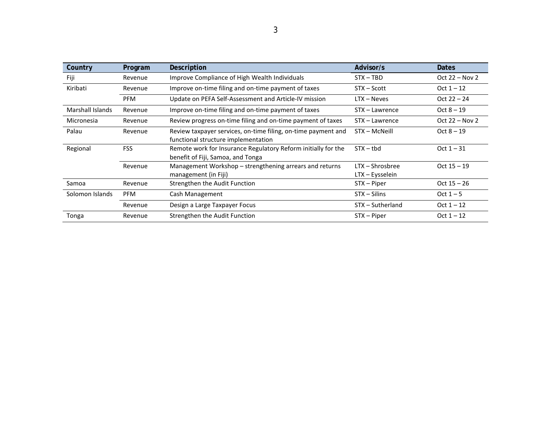| Country                 | Program    | Description                                                                                          | Advisor/s                          | <b>Dates</b>     |
|-------------------------|------------|------------------------------------------------------------------------------------------------------|------------------------------------|------------------|
| Fiji                    | Revenue    | Improve Compliance of High Wealth Individuals                                                        | $STX - TBD$                        | Oct $22 - Nov 2$ |
| Kiribati                | Revenue    | Improve on-time filing and on-time payment of taxes                                                  | STX – Scott                        | $Oct 1 - 12$     |
|                         | <b>PFM</b> | Update on PEFA Self-Assessment and Article-IV mission                                                | $LTX - Neves$                      | Oct $22 - 24$    |
| <b>Marshall Islands</b> | Revenue    | Improve on-time filing and on-time payment of taxes                                                  | STX - Lawrence                     | $Oct 8 - 19$     |
| Micronesia              | Revenue    | Review progress on-time filing and on-time payment of taxes                                          | STX - Lawrence                     | Oct $22 - Nov 2$ |
| Palau                   | Revenue    | Review taxpayer services, on-time filing, on-time payment and<br>functional structure implementation | STX - McNeill                      | $Oct 8 - 19$     |
| Regional                | <b>FSS</b> | Remote work for Insurance Regulatory Reform initially for the<br>benefit of Fiji, Samoa, and Tonga   | $STX - tbd$                        | $Oct 1 - 31$     |
|                         | Revenue    | Management Workshop – strengthening arrears and returns<br>management (in Fiji)                      | LTX - Shrosbree<br>LTX – Eysselein | $Oct$ 15 $-$ 19  |
| Samoa                   | Revenue    | Strengthen the Audit Function                                                                        | STX – Piper                        | $Oct$ 15 $-$ 26  |
| Solomon Islands         | <b>PFM</b> | Cash Management                                                                                      | $STX - Silins$                     | Oct $1 - 5$      |
|                         | Revenue    | Design a Large Taxpayer Focus                                                                        | STX - Sutherland                   | $Oct 1 - 12$     |
| Tonga                   | Revenue    | Strengthen the Audit Function                                                                        | STX - Piper                        | Oct $1 - 12$     |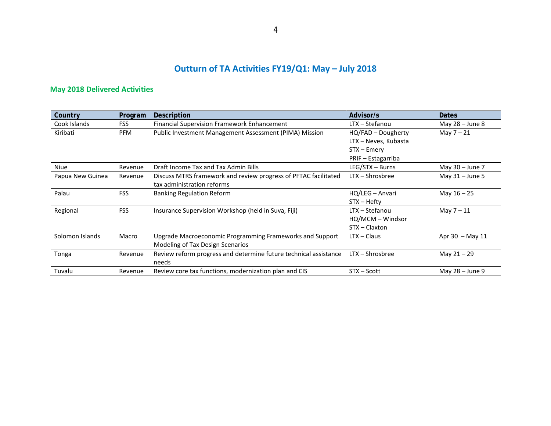# **Outturn of TA Activities FY19/Q1: May – July 2018**

# **May 2018 Delivered Activities**

| Country          | Program    | Description                                                      | Advisor/s            | <b>Dates</b>        |
|------------------|------------|------------------------------------------------------------------|----------------------|---------------------|
| Cook Islands     | <b>FSS</b> | <b>Financial Supervision Framework Enhancement</b>               | LTX - Stefanou       | May $28 -$ June $8$ |
| Kiribati         | <b>PFM</b> | Public Investment Management Assessment (PIMA) Mission           | HQ/FAD - Dougherty   | May $7 - 21$        |
|                  |            |                                                                  | LTX - Neves, Kubasta |                     |
|                  |            |                                                                  | STX – Emery          |                     |
|                  |            |                                                                  | PRIF - Estagarriba   |                     |
| Niue             | Revenue    | Draft Income Tax and Tax Admin Bills                             | LEG/STX - Burns      | May 30 - June 7     |
| Papua New Guinea | Revenue    | Discuss MTRS framework and review progress of PFTAC facilitated  | $LTX - Shrosbree$    | May $31 -$ June 5   |
|                  |            | tax administration reforms                                       |                      |                     |
| Palau            | <b>FSS</b> | <b>Banking Regulation Reform</b>                                 | HQ/LEG - Anvari      | May $16 - 25$       |
|                  |            |                                                                  | STX – Hefty          |                     |
| Regional         | <b>FSS</b> | Insurance Supervision Workshop (held in Suva, Fiji)              | LTX - Stefanou       | May $7 - 11$        |
|                  |            |                                                                  | HQ/MCM - Windsor     |                     |
|                  |            |                                                                  | STX - Claxton        |                     |
| Solomon Islands  | Macro      | Upgrade Macroeconomic Programming Frameworks and Support         | $LTX - Claus$        | Apr $30$ – May 11   |
|                  |            | Modeling of Tax Design Scenarios                                 |                      |                     |
| Tonga            | Revenue    | Review reform progress and determine future technical assistance | $LTX - Shrosbree$    | May $21 - 29$       |
|                  |            | needs                                                            |                      |                     |
| Tuvalu           | Revenue    | Review core tax functions, modernization plan and CIS            | STX - Scott          | May 28 - June 9     |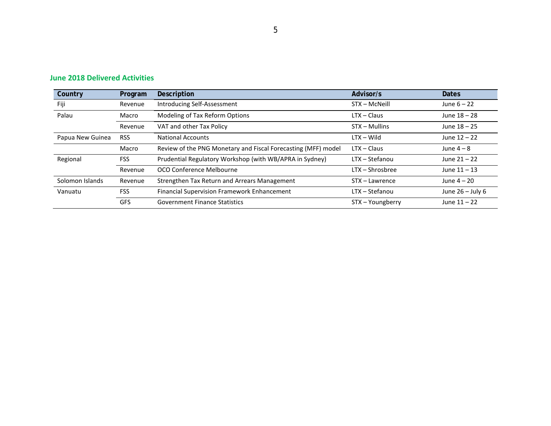| Country          | Program    | <b>Description</b>                                            | Advisor/s         | <b>Dates</b>       |
|------------------|------------|---------------------------------------------------------------|-------------------|--------------------|
| Fiji             | Revenue    | Introducing Self-Assessment                                   | STX - McNeill     | June $6 - 22$      |
| Palau            | Macro      | Modeling of Tax Reform Options                                | $LTX - Claus$     | June 18 - 28       |
|                  | Revenue    | VAT and other Tax Policy                                      | STX - Mullins     | June $18 - 25$     |
| Papua New Guinea | <b>RSS</b> | <b>National Accounts</b>                                      | $LTX - Wild$      | June $12 - 22$     |
|                  | Macro      | Review of the PNG Monetary and Fiscal Forecasting (MFF) model | $LTX - Claus$     | June $4-8$         |
| Regional         | <b>FSS</b> | Prudential Regulatory Workshop (with WB/APRA in Sydney)       | LTX – Stefanou    | June $21 - 22$     |
|                  | Revenue    | OCO Conference Melbourne                                      | $LTX - Shrosbree$ | June $11 - 13$     |
| Solomon Islands  | Revenue    | Strengthen Tax Return and Arrears Management                  | STX – Lawrence    | June $4-20$        |
| Vanuatu          | <b>FSS</b> | <b>Financial Supervision Framework Enhancement</b>            | LTX - Stefanou    | June $26 -$ July 6 |
|                  | <b>GFS</b> | <b>Government Finance Statistics</b>                          | STX - Youngberry  | June $11 - 22$     |

#### **June 2018 Delivered Activities**